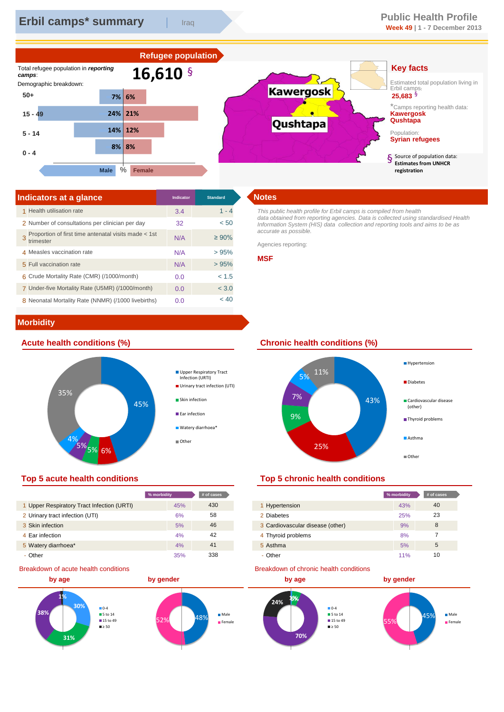

| Indicators at a glance                                            | Indicator | <b>Standard</b> | <b>Notes</b>       |
|-------------------------------------------------------------------|-----------|-----------------|--------------------|
| 1 Health utilisation rate                                         | 3.4       | $1 - 4$         | This pu            |
| 2 Number of consultations per clinician per day                   | 32        | < 50            | data ob<br>Informa |
| Proportion of first time antenatal visits made < 1st<br>trimester | N/A       | $\geq 90\%$     | accurat<br>Agencie |
| 4 Measles vaccination rate                                        | N/A       | >95%            |                    |
| 5 Full vaccination rate                                           | N/A       | >95%            | <b>MSF</b>         |
| 6 Crude Mortality Rate (CMR) (/1000/month)                        | 0.0       | < 1.5           |                    |
| 7 Under-five Mortality Rate (U5MR) (/1000/month)                  | 0.0       | < 3.0           |                    |
| 8 Neonatal Mortality Rate (NNMR) (/1000 livebirths)               | 0.0       | < 40            |                    |

*This public health profile for Erbil camps is compiled from health data obtained from reporting agencies. Data is collected using standardised Health Information System (HIS) data collection and reporting tools and aims to be as accurate as possible.* 

Agencies reporting:

### **MSF**

# **Morbidity**



# **Top 5 acute health conditions Top 5 chronic health conditions**

|                                            | % morbidity | $#$ of cases |
|--------------------------------------------|-------------|--------------|
| 1 Upper Respiratory Tract Infection (URTI) | 45%         | 430          |
| 2 Urinary tract infection (UTI)            | 6%          | 58           |
| 3 Skin infection                           | 5%          | 46           |
| 4 Ear infection                            | 4%          | 42           |
| 5 Watery diarrhoea*                        | 4%          | 41           |
| - Other                                    | 35%         | 338          |

## Breakdown of acute health conditions

![](_page_0_Figure_13.jpeg)

# **Acute health conditions (%) Chronic health conditions (%)**

![](_page_0_Figure_15.jpeg)

| % morbidity |     | # of cases |                                  | % morbidity | # of cases |
|-------------|-----|------------|----------------------------------|-------------|------------|
|             | 45% | 430        | 1 Hypertension                   | 43%         | 40         |
|             | 6%  | 58         | 2 Diabetes                       | 25%         | 23         |
|             | 5%  | 46         | 3 Cardiovascular disease (other) | 9%          | 8          |
|             | 4%  | 42         | 4 Thyroid problems               | 8%          |            |
|             | 4%  | 41         | 5 Asthma                         | 5%          | 5          |
|             | 35% | 338        | - Other                          | 11%         | 10         |

### Breakdown of chronic health conditions

![](_page_0_Figure_19.jpeg)